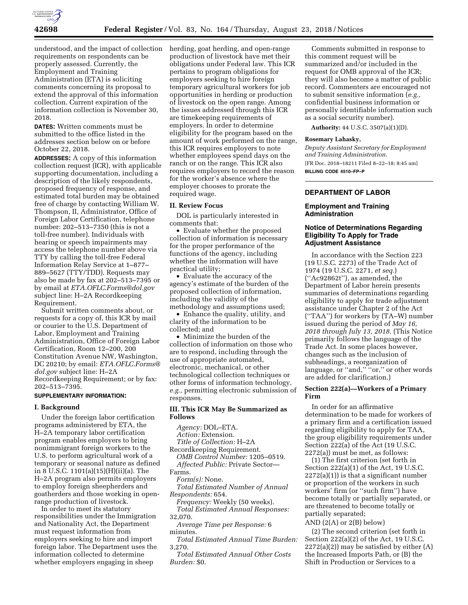

understood, and the impact of collection requirements on respondents can be properly assessed. Currently, the Employment and Training Administration (ETA) is soliciting comments concerning its proposal to

extend the approval of this information collection. Current expiration of the information collection is November 30, 2018.

**DATES:** Written comments must be submitted to the office listed in the addresses section below on or before October 22, 2018.

**ADDRESSES:** A copy of this information collection request (ICR), with applicable supporting documentation, including a description of the likely respondents, proposed frequency of response, and estimated total burden may be obtained free of charge by contacting William W. Thompson, II, Administrator, Office of Foreign Labor Certification, telephone number: 202–513–7350 (this is not a toll-free number). Individuals with hearing or speech impairments may access the telephone number above via TTY by calling the toll-free Federal Information Relay Service at 1–877– 889–5627 (TTY/TDD). Requests may also be made by fax at 202–513–7395 or by email at *[ETA.OFLC.Forms@dol.gov](mailto:ETA.OFLC.Forms@dol.gov)*  subject line: H–2A Recordkeeping Requirement.

Submit written comments about, or requests for a copy of, this ICR by mail or courier to the U.S. Department of Labor, Employment and Training Administration, Office of Foreign Labor Certification, Room 12–200, 200 Constitution Avenue NW, Washington, DC 20210; by email: *[ETA.OFLC.Forms@](mailto:ETA.OFLC.Forms@dol.gov) [dol.gov](mailto:ETA.OFLC.Forms@dol.gov)* subject line: H–2A Recordkeeping Requirement; or by fax: 202–513–7395.

#### **SUPPLEMENTARY INFORMATION:**

#### **I. Background**

Under the foreign labor certification programs administered by ETA, the H–2A temporary labor certification program enables employers to bring nonimmigrant foreign workers to the U.S. to perform agricultural work of a temporary or seasonal nature as defined in 8 U.S.C. 1101(a)(15)(H)(ii)(a). The H–2A program also permits employers to employ foreign sheepherders and goatherders and those working in openrange production of livestock.

In order to meet its statutory responsibilities under the Immigration and Nationality Act, the Department must request information from employers seeking to hire and import foreign labor. The Department uses the information collected to determine whether employers engaging in sheep

herding, goat herding, and open-range production of livestock have met their obligations under Federal law. This ICR pertains to program obligations for employers seeking to hire foreign temporary agricultural workers for job opportunities in herding or production of livestock on the open range. Among the issues addressed through this ICR are timekeeping requirements of employers. In order to determine eligibility for the program based on the amount of work performed on the range, this ICR requires employers to note whether employees spend days on the ranch or on the range. This ICR also requires employers to record the reason for the worker's absence where the employer chooses to prorate the required wage.

### **II. Review Focus**

DOL is particularly interested in comments that:

• Evaluate whether the proposed collection of information is necessary for the proper performance of the functions of the agency, including whether the information will have practical utility;

• Evaluate the accuracy of the agency's estimate of the burden of the proposed collection of information, including the validity of the methodology and assumptions used;

• Enhance the quality, utility, and clarity of the information to be collected; and

• Minimize the burden of the collection of information on those who are to respond, including through the use of appropriate automated, electronic, mechanical, or other technological collection techniques or other forms of information technology, *e.g.,* permitting electronic submission of responses.

## **III. This ICR May Be Summarized as Follows**

*Agency:* DOL–ETA.

*Action:* Extension.

*Title of Collection:* H–2A

Recordkeeping Requirement. *OMB Control Number:* 1205–0519. *Affected Public:* Private Sector—

Farms.

*Form(s):* None.

*Total Estimated Number of Annual Respondents:* 654.

*Frequency:* Weekly (50 weeks). *Total Estimated Annual Responses:*  32,070.

*Average Time per Response:* 6 minutes.

*Total Estimated Annual Time Burden:*  3,270.

*Total Estimated Annual Other Costs Burden:* \$0.

Comments submitted in response to this comment request will be summarized and/or included in the request for OMB approval of the ICR; they will also become a matter of public record. Commenters are encouraged not to submit sensitive information (*e.g.,*  confidential business information or personally identifiable information such as a social security number).

**Authority:** 44 U.S.C. 3507(a)(1)(D).

#### **Rosemary Lahasky,**

*Deputy Assistant Secretary for Employment and Training Administration.* 

[FR Doc. 2018–18211 Filed 8–22–18; 8:45 am] **BILLING CODE 4510–FP–P** 

### **DEPARTMENT OF LABOR**

## **Employment and Training Administration**

### **Notice of Determinations Regarding Eligibility To Apply for Trade Adjustment Assistance**

In accordance with the Section 223 (19 U.S.C. 2273) of the Trade Act of 1974 (19 U.S.C. 2271, *et seq.*) (''Ac92862t''), as amended, the Department of Labor herein presents summaries of determinations regarding eligibility to apply for trade adjustment assistance under Chapter 2 of the Act (''TAA'') for workers by (TA–W) number issued during the period of *May 16, 2018 through July 13, 2018.* (This Notice primarily follows the language of the Trade Act. In some places however, changes such as the inclusion of subheadings, a reorganization of language, or "and," "or," or other words are added for clarification.)

### **Section 222(a)—Workers of a Primary Firm**

In order for an affirmative determination to be made for workers of a primary firm and a certification issued regarding eligibility to apply for TAA, the group eligibility requirements under Section 222(a) of the Act (19 U.S.C. 2272(a)) must be met, as follows:

(1) The first criterion (set forth in Section 222(a)(1) of the Act, 19 U.S.C.  $2272(a)(1)$ ) is that a significant number or proportion of the workers in such workers' firm (or ''such firm'') have become totally or partially separated, or are threatened to become totally or partially separated;

AND  $(2(A)$  or  $2(B)$  below)

(2) The second criterion (set forth in Section 222(a)(2) of the Act, 19 U.S.C.  $2272(a)(2)$  may be satisfied by either  $(A)$ the Increased Imports Path, or (B) the Shift in Production or Services to a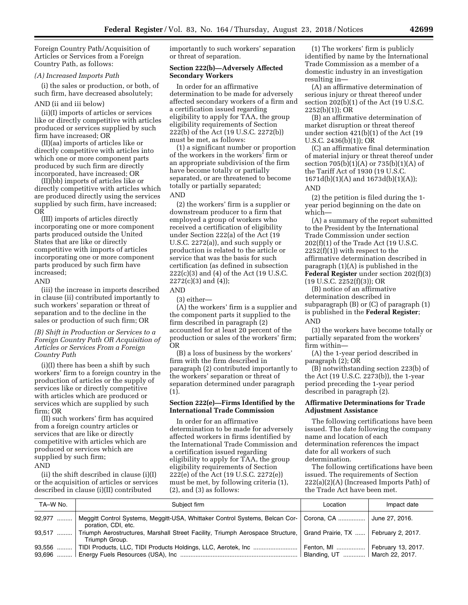Foreign Country Path/Acquisition of Articles or Services from a Foreign Country Path, as follows:

#### *(A) Increased Imports Path*

(i) the sales or production, or both, of such firm, have decreased absolutely;

#### AND (ii and iii below)

(ii)(I) imports of articles or services like or directly competitive with articles produced or services supplied by such firm have increased; OR

(II)(aa) imports of articles like or directly competitive with articles into which one or more component parts produced by such firm are directly incorporated, have increased; OR

(II)(bb) imports of articles like or directly competitive with articles which are produced directly using the services supplied by such firm, have increased; OR

(III) imports of articles directly incorporating one or more component parts produced outside the United States that are like or directly competitive with imports of articles incorporating one or more component parts produced by such firm have increased;

#### AND

(iii) the increase in imports described in clause (ii) contributed importantly to such workers' separation or threat of separation and to the decline in the sales or production of such firm; OR

# *(B) Shift in Production or Services to a Foreign Country Path OR Acquisition of Articles or Services From a Foreign Country Path*

(i)(I) there has been a shift by such workers' firm to a foreign country in the production of articles or the supply of services like or directly competitive with articles which are produced or services which are supplied by such firm; OR

(II) such workers' firm has acquired from a foreign country articles or services that are like or directly competitive with articles which are produced or services which are supplied by such firm; AND

(ii) the shift described in clause (i)(I) or the acquisition of articles or services described in clause (i)(II) contributed

importantly to such workers' separation or threat of separation.

# **Section 222(b)—Adversely Affected Secondary Workers**

In order for an affirmative determination to be made for adversely affected secondary workers of a firm and a certification issued regarding eligibility to apply for TAA, the group eligibility requirements of Section 222(b) of the Act (19 U.S.C. 2272(b)) must be met, as follows:

(1) a significant number or proportion of the workers in the workers' firm or an appropriate subdivision of the firm have become totally or partially separated, or are threatened to become totally or partially separated;

## AND

(2) the workers' firm is a supplier or downstream producer to a firm that employed a group of workers who received a certification of eligibility under Section 222(a) of the Act (19 U.S.C. 2272(a)), and such supply or production is related to the article or service that was the basis for such certification (as defined in subsection 222(c)(3) and (4) of the Act (19 U.S.C.  $2272(c)(3)$  and  $(4)$ );

AND

(3) either—

(A) the workers' firm is a supplier and the component parts it supplied to the firm described in paragraph (2) accounted for at least 20 percent of the production or sales of the workers' firm; OR

(B) a loss of business by the workers' firm with the firm described in paragraph (2) contributed importantly to the workers' separation or threat of separation determined under paragraph (1).

## **Section 222(e)—Firms Identified by the International Trade Commission**

In order for an affirmative determination to be made for adversely affected workers in firms identified by the International Trade Commission and a certification issued regarding eligibility to apply for TAA, the group eligibility requirements of Section 222(e) of the Act (19 U.S.C. 2272(e)) must be met, by following criteria (1), (2), and (3) as follows:

(1) The workers' firm is publicly identified by name by the International Trade Commission as a member of a domestic industry in an investigation resulting in—

(A) an affirmative determination of serious injury or threat thereof under section 202(b)(1) of the Act (19 U.S.C. 2252(b)(1)); OR

(B) an affirmative determination of market disruption or threat thereof under section 421(b)(1) of the Act (19 U.S.C. 2436(b)(1)); OR

(C) an affirmative final determination of material injury or threat thereof under section  $705(b)(1)(A)$  or  $735(b)(1)(A)$  of the Tariff Act of 1930 (19 U.S.C. 1671d(b)(1)(A) and 1673d(b)(1)(A)); AND

(2) the petition is filed during the 1 year period beginning on the date on which—

(A) a summary of the report submitted to the President by the International Trade Commission under section 202(f)(1) of the Trade Act (19 U.S.C.  $2252(f)(1)$ ) with respect to the affirmative determination described in paragraph (1)(A) is published in the **Federal Register** under section 202(f)(3)  $(19 \text{ U.S.C. } 2252(f)(3))$ ; OR

(B) notice of an affirmative determination described in subparagraph (B) or (C) of paragraph (1) is published in the **Federal Register**; AND

(3) the workers have become totally or partially separated from the workers' firm within—

(A) the 1-year period described in paragraph (2); OR

(B) notwithstanding section 223(b) of the Act (19 U.S.C. 2273(b)), the 1-year period preceding the 1-year period described in paragraph (2).

## **Affirmative Determinations for Trade Adjustment Assistance**

The following certifications have been issued. The date following the company name and location of each determination references the impact date for all workers of such determination.

The following certifications have been issued. The requirements of Section 222(a)(2)(A) (Increased Imports Path) of the Trade Act have been met.

| TA-W No. | Subject firm                                                                                                                                  | Location                         | Impact date |
|----------|-----------------------------------------------------------------------------------------------------------------------------------------------|----------------------------------|-------------|
| 92,977   | Meggitt Control Systems, Meggitt-USA, Whittaker Control Systems, Belcan Cor-   Corona, CA    June 27, 2016.<br>poration, CDI, etc.            |                                  |             |
|          | 93,517  Triumph Aerostructures, Marshall Street Facility, Triumph Aerospace Structure, Grand Prairie, TX  February 2, 2017.<br>Triumph Group. |                                  |             |
|          | 93,556    TIDI Products, LLC, TIDI Products Holdings, LLC, Aerotek, Inc                                                                       | Fenton, MI    February 13, 2017. |             |
|          |                                                                                                                                               | Blanding, UT    March 22, 2017.  |             |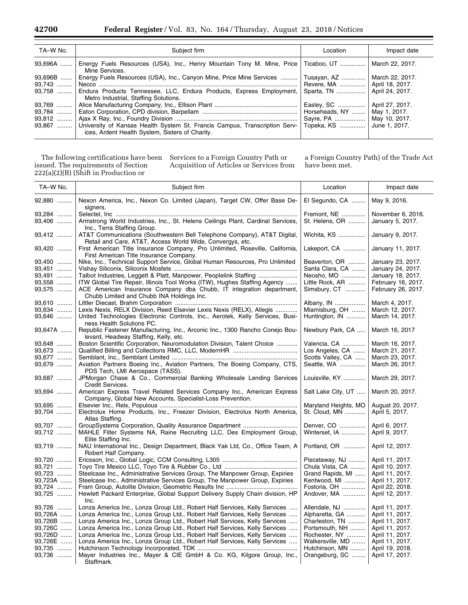| TA-W No.  | Subject firm                                                                                                                            | Location                       | Impact date     |
|-----------|-----------------------------------------------------------------------------------------------------------------------------------------|--------------------------------|-----------------|
| 93,696A   | Energy Fuels Resources (USA), Inc., Henry Mountain Tony M. Mine, Price   Ticaboo, UT<br>Mine Services.                                  |                                | March 22, 2017. |
| $93,696B$ | Energy Fuels Resources (USA), Inc., Canyon Mine, Price Mine Services                                                                    | Tusayan, AZ                    | March 22, 2017. |
| $93.743$  |                                                                                                                                         | Revere, MA                     | April 18, 2017. |
|           | 93.758  Endura Products Tennessee, LLC, Endura Products, Express Employment,                                                            | Sparta, TN                     | April 24, 2017. |
|           | Metro Industrial, Staffing Solutions.                                                                                                   |                                |                 |
| $93,769$  |                                                                                                                                         | Easley, SC                     | April 27, 2017. |
|           |                                                                                                                                         | Horseheads, NY    May 1, 2017. |                 |
| $93.812$  |                                                                                                                                         | Savre, PA                      | May 10, 2017.   |
|           | 93,867    University of Kansas Health System St. Francis Campus, Transcription Serv-<br>ices, Ardent Health System, Sisters of Charity. | Topeka, KS                     | June 1, 2017.   |

The following certifications have been issued. The requirements of Section 222(a)(2)(B) (Shift in Production or

Services to a Foreign Country Path or Acquisition of Articles or Services from a Foreign Country Path) of the Trade Act have been met.

÷

÷

| TA-W No.                                                                          | Subject firm                                                                                                                                                                                                                                                                                                                                                                                                                                                                                                                                                             | Location                                                                                                                                     | Impact date                                                                                                                                          |
|-----------------------------------------------------------------------------------|--------------------------------------------------------------------------------------------------------------------------------------------------------------------------------------------------------------------------------------------------------------------------------------------------------------------------------------------------------------------------------------------------------------------------------------------------------------------------------------------------------------------------------------------------------------------------|----------------------------------------------------------------------------------------------------------------------------------------------|------------------------------------------------------------------------------------------------------------------------------------------------------|
| 92,880                                                                            | Nexon America, Inc., Nexon Co. Limited (Japan), Target CW, Offer Base De-<br>signers.                                                                                                                                                                                                                                                                                                                                                                                                                                                                                    | El Segundo, CA                                                                                                                               | May 9, 2016.                                                                                                                                         |
| 93,284<br>93,406                                                                  | Armstrong World Industries, Inc., St. Helens Ceilings Plant, Cardinal Services,                                                                                                                                                                                                                                                                                                                                                                                                                                                                                          | Fremont, NE<br>St. Helens, OR                                                                                                                | November 6, 2016.<br>January 5, 2017.                                                                                                                |
| 93,412                                                                            | Inc., Terra Staffing Group.<br>AT&T Communications (Southwestern Bell Telephone Company), AT&T Digital,<br>Retail and Care, AT&T, Access World Wide, Convergys, etc.                                                                                                                                                                                                                                                                                                                                                                                                     | Wichita, KS                                                                                                                                  | January 9, 2017.                                                                                                                                     |
| 93,420                                                                            | First American Title Insurance Company, Pro Unlimited, Roseville, California,<br>First American Title Insurance Company.                                                                                                                                                                                                                                                                                                                                                                                                                                                 | Lakeport, CA                                                                                                                                 | January 11, 2017.                                                                                                                                    |
| 93,450<br>93,451<br>93,491<br>93,558<br>93,575                                    | Nike, Inc., Technical Support Service, Global Human Resources, Pro Unlimited<br>Talbot Industries, Leggett & Platt, Manpower, Peoplelink Staffing<br>ITW Global Tire Repair, Illinois Tool Works (ITW), Hughes Staffing Agency<br>ACE American Insurance Company dba Chubb, IT integration department,                                                                                                                                                                                                                                                                   | Beaverton, OR<br>Santa Clara, CA<br>Neosho, MO<br>Little Rock, AR<br>Simsbury, CT                                                            | January 23, 2017.<br>January 24, 2017.<br>January 18, 2017.<br>February 16, 2017.<br>February 26, 2017.                                              |
| 93,610<br>93,634<br>93,646                                                        | Chubb Limited and Chubb INA Holdings Inc.<br>Lexis Nexis, RELX Division, Reed Elsevier Lexis Nexis (RELX), Allegis<br>United Technologies Electronic Controls, Inc., Aerotek, Kelly Services, Busi-                                                                                                                                                                                                                                                                                                                                                                      | Albany, IN<br>Miamisburg, OH<br>Huntington, IN                                                                                               | March 4, 2017.<br>March 12, 2017.<br>March 14, 2017.                                                                                                 |
| 93,647A                                                                           | ness Health Solutions PC.<br>Republic Fastener Manufacturing, Inc., Arconic Inc., 1300 Rancho Conejo Bou-<br>levard, Headway Staffing, Kelly, etc.                                                                                                                                                                                                                                                                                                                                                                                                                       | Newbury Park, CA                                                                                                                             | March 16, 2017                                                                                                                                       |
| 93,648<br>93,673<br>93,677<br>93,679                                              | Boston Scientific Corporation, Neuromodulation Division, Talent Choice<br>Aviation Partners Boeing Inc., Aviation Partners, The Boeing Company, CTS,                                                                                                                                                                                                                                                                                                                                                                                                                     | Valencia, CA<br>Los Angeles, CA<br>Scotts Valley, CA<br>Seattle, WA                                                                          | March 16, 2017.<br>March 21, 2017.<br>March 23, 2017.<br>March 26, 2017.                                                                             |
| 93,687                                                                            | PDS Tech, LMI Aerospace (TASS).<br>JPMorgan Chase & Co., Commercial Banking Wholesale Lending Services<br>Credit Services.                                                                                                                                                                                                                                                                                                                                                                                                                                               | Louisville, KY                                                                                                                               | March 29, 2017.                                                                                                                                      |
| 93,694                                                                            | American Express Travel Related Services Company Inc., American Express<br>Company, Global New Accounts, Specialist-Loss Prevention.                                                                                                                                                                                                                                                                                                                                                                                                                                     | Salt Lake City, UT                                                                                                                           | March 20, 2017.                                                                                                                                      |
| 93,695<br>93,704                                                                  | Electrolux Home Products, Inc., Freezer Division, Electrolux North America,<br>Atlas Staffing.                                                                                                                                                                                                                                                                                                                                                                                                                                                                           | Maryland Heights, MO<br>St. Cloud, MN                                                                                                        | August 20, 2017.<br>April 5, 2017.                                                                                                                   |
| 93,707<br>93,712                                                                  | GroupSystems Corporation, Quality Assurance Department<br>MAHLE Filter Systems NA, Raine Recruiting LLC, Des Employment Group,<br>Elite Staffing Inc.                                                                                                                                                                                                                                                                                                                                                                                                                    | Denver, CO<br>Winterset, IA                                                                                                                  | April 6, 2017.<br>April 9, 2017.                                                                                                                     |
| 93,719                                                                            | NAU International Inc., Design Department, Black Yak Ltd, Co., Office Team, A<br>Robert Half Company.                                                                                                                                                                                                                                                                                                                                                                                                                                                                    | Portland, OR                                                                                                                                 | April 12, 2017.                                                                                                                                      |
| 93,720<br>93,721<br>93,723<br>93,723A<br>93,724<br>93,725                         | Steelcase Inc., Administrative Services Group, The Manpower Group, Expiries<br>Steelcase Inc., Administrative Services Group, The Manpower Group, Expiries<br>Hewlett Packard Enterprise, Global Support Delivery Supply Chain division, HP<br>Inc.                                                                                                                                                                                                                                                                                                                      | Piscataway, NJ<br>Chula Vista, CA<br>Grand Rapids, MI<br>Kentwood, MI<br>Fostoria, OH<br>Andover, MA                                         | April 11, 2017.<br>April 10, 2017.<br>April 11, 2017.<br>April 11, 2017.<br>April 22, 2018.<br>April 12, 2017.                                       |
| 93,726<br>93,726A<br>93,726B<br>93,726C<br>93,726D<br>93,726E<br>93,735<br>93,736 | Lonza America Inc., Lonza Group Ltd., Robert Half Services, Kelly Services<br>Lonza America Inc., Lonza Group Ltd., Robert Half Services, Kelly Services<br>Lonza America Inc., Lonza Group Ltd., Robert Half Services, Kelly Services<br>Lonza America Inc., Lonza Group Ltd., Robert Half Services, Kelly Services<br>Lonza America Inc., Lonza Group Ltd., Robert Half Services, Kelly Services<br>Lonza America Inc., Lonza Group Ltd., Robert Half Services, Kelly Services<br>Mayer Industries Inc., Mayer & CIE GmbH & Co. KG, Kilgore Group, Inc.,<br>Staffmark. | Allendale, NJ<br>Alpharetta, GA<br>Charleston, TN<br>Portsmouth, NH<br>Rochester, NY<br>Walkersville, MD<br>Hutchinson, MN<br>Orangeburg, SC | April 11, 2017.<br>April 11, 2017.<br>April 11, 2017.<br>April 11, 2017.<br>April 11, 2017.<br>April 11, 2017.<br>April 19, 2018.<br>April 17, 2017. |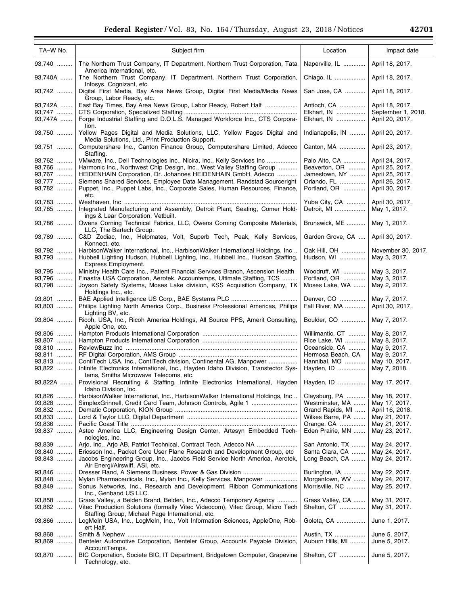| TA-W No.                                       | Subject firm                                                                                                                                                                                                                                                                                                                                                                       | Location                                                                       | Impact date                                                                                 |
|------------------------------------------------|------------------------------------------------------------------------------------------------------------------------------------------------------------------------------------------------------------------------------------------------------------------------------------------------------------------------------------------------------------------------------------|--------------------------------------------------------------------------------|---------------------------------------------------------------------------------------------|
| 93,740                                         | The Northern Trust Company, IT Department, Northern Trust Corporation, Tata<br>America International, etc.                                                                                                                                                                                                                                                                         | Naperville, IL                                                                 | April 18, 2017.                                                                             |
| 93,740A                                        | The Northern Trust Company, IT Department, Northern Trust Corporation,<br>Infosys, Cognizant, etc.                                                                                                                                                                                                                                                                                 | Chiago, IL                                                                     | April 18, 2017.                                                                             |
| 93,742                                         | Digital First Media, Bay Area News Group, Digital First Media/Media News<br>Group, Labor Ready, etc.                                                                                                                                                                                                                                                                               | San Jose, CA                                                                   | April 18, 2017.                                                                             |
| 93,742A<br>93,747<br>93,747A                   | East Bay Times, Bay Area News Group, Labor Ready, Robert Half<br>Forge Industrial Staffing and D.O.L.S. Managed Workforce Inc., CTS Corpora-                                                                                                                                                                                                                                       | Antioch, CA<br>Elkhart, IN<br>Elkhart, IN                                      | April 18, 2017.<br>September 1, 2018.<br>April 20, 2017.                                    |
| 93,750                                         | tion.<br>Yellow Pages Digital and Media Solutions, LLC, Yellow Pages Digital and<br>Media Solutions, Ltd., Print Production Support.                                                                                                                                                                                                                                               | Indianapolis, IN                                                               | April 20, 2017.                                                                             |
| 93,751                                         | Computershare Inc., Canton Finance Group, Computershare Limited, Adecco<br>Staffing.                                                                                                                                                                                                                                                                                               | Canton, MA                                                                     | April 23, 2017.                                                                             |
| 93,762<br>93,766<br>93,767<br>93,777<br>93,782 | VMware, Inc., Dell Technologies Inc., Nicira, Inc., Kelly Services Inc<br>Harmonic Inc., Northwest Chip Design, Inc., West Valley Staffing Group<br>HEIDENHAIN Corporation, Dr. Johannes HEIDENHAIN GmbH, Adecco<br>Siemens Shared Services, Employee Data Management, Randstad Sourceright<br>Puppet, Inc., Puppet Labs, Inc., Corporate Sales, Human Resources, Finance,<br>etc. | Palo Alto, CA<br>Beaverton, OR<br>Jamestown, NY<br>Orlando, FL<br>Portland, OR | April 24, 2017.<br>April 25, 2017.<br>April 25, 2017.<br>April 26, 2017.<br>April 30, 2017. |
| 93,783<br>93,785                               | Integrated Manufacturing and Assembly, Detroit Plant, Seating, Comer Hold-                                                                                                                                                                                                                                                                                                         | Yuba City, CA<br>Detroit, MI                                                   | April 30, 2017.<br>May 1, 2017.                                                             |
| 93,786                                         | ings & Lear Corporation, Vetbuilt.<br>Owens Corning Technical Fabrics, LLC, Owens Corning Composite Materials,                                                                                                                                                                                                                                                                     | Brunswick, ME                                                                  | May 1, 2017.                                                                                |
| 93,789                                         | LLC, The Bartech Group.<br>C&D Zodiac, Inc., Helpmates, Volt, Superb Tech, Peak, Kelly Services,                                                                                                                                                                                                                                                                                   | Garden Grove, CA                                                               | April 30, 2017.                                                                             |
| 93,792<br>93,793                               | Konnect, etc.<br>HarbisonWalker International, Inc., HarbisonWalker International Holdings, Inc<br>Hubbell Lighting Hudson, Hubbell Lighting, Inc., Hubbell Inc., Hudson Staffing,<br>Express Employment.                                                                                                                                                                          | Oak Hill, OH<br>Hudson, WI                                                     | November 30, 2017.<br>May 3, 2017.                                                          |
| 93,795<br>93,796<br>93,798                     | Ministry Health Care Inc., Patient Financial Services Branch, Ascension Health<br>Finastra USA Corporation, Aerotek, Accountemps, Ultimate Staffing, TCS<br>Joyson Safety Systems, Moses Lake division, KSS Acquisition Company, TK                                                                                                                                                | Woodruff, WI<br>Portland, OR<br>Moses Lake, WA                                 | May 3, 2017.<br>May 3, 2017.<br>May 2, 2017.                                                |
| 93,801<br>93,803                               | Holdings Inc., etc.<br>Philips Lighting North America Corp., Business Professional Americas, Philips                                                                                                                                                                                                                                                                               | Denver, CO<br>Fall River, MA                                                   | May 7, 2017.<br>April 30, 2017.                                                             |
| 93,804                                         | Lighting BV, etc.<br>Ricoh, USA, Inc., Ricoh America Holdings, All Source PPS, Amerit Consulting,<br>Apple One, etc.                                                                                                                                                                                                                                                               | Boulder, CO                                                                    | May 7, 2017.                                                                                |
| 93,806<br>93,807<br>93,810                     |                                                                                                                                                                                                                                                                                                                                                                                    | Willimantic, CT<br>Rice Lake, WI<br>Oceanside, CA                              | May 8, 2017.<br>May 8, 2017.<br>May 9, 2017.                                                |
| 93,811                                         |                                                                                                                                                                                                                                                                                                                                                                                    | Hermosa Beach, CA                                                              | May 9, 2017.                                                                                |
| 93,813<br>93,822                               | ContiTech USA, Inc., ContiTech division, Continental AG, Manpower<br>Infinite Electronics International, Inc., Hayden Idaho Division, Transtector Sys-<br>tems, Smiths Microwave Telecoms, etc.                                                                                                                                                                                    | Hannibal, MO<br>Hayden, ID                                                     | May 10, 2017.<br>May 7, 2018.                                                               |
| 93,822A                                        | Provisional Recruiting & Staffing, Infinite Electronics International, Hayden<br>Idaho Division, Inc.                                                                                                                                                                                                                                                                              | Hayden, ID    May 17, 2017.                                                    |                                                                                             |
| 93,826<br>93,828                               | HarbisonWalker International, Inc., HarbisonWalker International Holdings, Inc                                                                                                                                                                                                                                                                                                     | Claysburg, PA<br>Westminster, MA                                               | May 18, 2017.<br>May 17, 2017.                                                              |
| 93,832                                         |                                                                                                                                                                                                                                                                                                                                                                                    | Grand Rapids, MI                                                               | April 16, 2018.                                                                             |
| 93,833<br>93,836                               |                                                                                                                                                                                                                                                                                                                                                                                    | Wilkes Barre, PA<br>Orange, CA                                                 | May 21, 2017.<br>May 21, 2017.                                                              |
| 93,837                                         | Astec America LLC, Engineering Design Center, Artesyn Embedded Tech-<br>nologies, Inc.                                                                                                                                                                                                                                                                                             | Eden Prairie, MN                                                               | May 23, 2017.                                                                               |
| 93,839                                         |                                                                                                                                                                                                                                                                                                                                                                                    | San Antonio, TX                                                                | May 24, 2017.                                                                               |
| 93,840                                         | Ericsson Inc., Packet Core User Plane Research and Development Group, etc.                                                                                                                                                                                                                                                                                                         | Santa Clara, CA                                                                | May 24, 2017.                                                                               |
| 93,843                                         | Jacobs Engineering Group, Inc., Jacobs Field Service North America, Aerotek,<br>Air Energi/Airswiff, ASI, etc.                                                                                                                                                                                                                                                                     | Long Beach, CA                                                                 | May 24, 2017.                                                                               |
| 93,846                                         |                                                                                                                                                                                                                                                                                                                                                                                    | Burlington, IA                                                                 | May 22, 2017.                                                                               |
| 93,848<br>93,849                               | Mylan Pharmaceuticals, Inc., Mylan Inc., Kelly Services, Manpower<br>Sonus Networks, Inc., Research and Development, Ribbon Communications<br>Inc., Genband US LLC.                                                                                                                                                                                                                | Morgantown, WV<br>Morrisville, NC                                              | May 24, 2017.<br>May 25, 2017.                                                              |
| 93,858<br>93,862                               | Grass Valley, a Belden Brand, Belden, Inc., Adecco Temporary Agency<br>Vitec Production Solutions (formally Vitec Videocom), Vitec Group, Micro Tech<br>Staffing Group, Michael Page International, etc.                                                                                                                                                                           | Grass Valley, CA<br>Shelton, CT                                                | May 31, 2017.<br>May 31, 2017.                                                              |
| 93,866                                         | LogMeIn USA, Inc., LogMeIn, Inc., Volt Information Sciences, AppleOne, Rob-<br>ert Half.                                                                                                                                                                                                                                                                                           | Goleta, CA                                                                     | June 1, 2017.                                                                               |
| 93,868<br>93,869                               | Benteler Automotive Corporation, Benteler Group, Accounts Payable Division,                                                                                                                                                                                                                                                                                                        | Austin, TX<br>Auburn Hills, MI                                                 | June 5, 2017.<br>June 5, 2017.                                                              |
| 93,870                                         | AccountTemps.<br>BIC Corporation, Societe BIC, IT Department, Bridgetown Computer, Grapevine<br>Technology, etc.                                                                                                                                                                                                                                                                   | Shelton, CT                                                                    | June 5, 2017.                                                                               |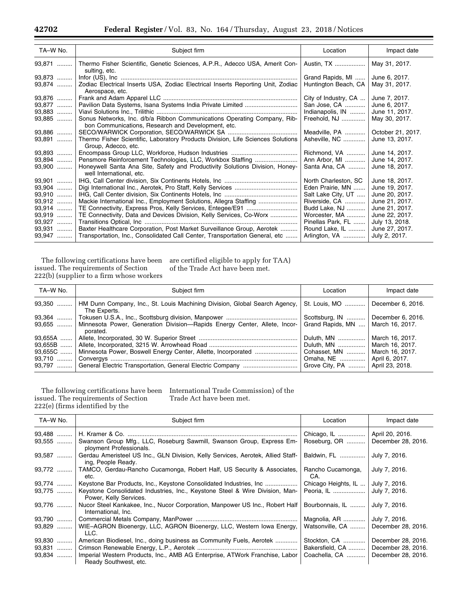| TA-W No. | Subject firm                                                                                                                   | Location             | Impact date       |
|----------|--------------------------------------------------------------------------------------------------------------------------------|----------------------|-------------------|
| 93,871   | Thermo Fisher Scientific, Genetic Sciences, A.P.R., Adecco USA, Amerit Con-<br>sulting, etc.                                   | Austin, TX           | May 31, 2017.     |
| 93,873   |                                                                                                                                | Grand Rapids, MI     | June 6, 2017.     |
| 93,874   | Zodiac Electrical Inserts USA, Zodiac Electrical Inserts Reporting Unit, Zodiac<br>Aerospace, etc.                             | Huntington Beach, CA | May 31, 2017.     |
| 93,876   |                                                                                                                                | City of Industry, CA | June 7, 2017.     |
| 93,877   |                                                                                                                                | San Jose, CA         | June 6, 2017.     |
| 93,883   |                                                                                                                                | Indianapolis, IN     | June 11, 2017.    |
| 93,885   | Sonus Networks, Inc. d/b/a Ribbon Communications Operating Company, Rib-<br>bon Communications, Research and Development, etc. | Freehold, NJ         | May 30, 2017.     |
| 93,886   |                                                                                                                                | Meadville, PA        | October 21, 2017. |
| 93,891   | Thermo Fisher Scientific, Laboratory Products Division, Life Sciences Solutions<br>Group, Adecco, etc.                         | Asheville, NC        | June 13, 2017.    |
| 93,893   |                                                                                                                                | Richmond, VA         | June 14, 2017.    |
| 93,894   | Pensmore Reinforcement Technologies, LLC, Workbox Staffing                                                                     | Ann Arbor, MI        | June 14, 2017.    |
| 93,900   | Honeywell Santa Ana Site, Safety and Productivity Solutions Division, Honey-<br>well International, etc.                       | Santa Ana, CA        | June 18, 2017.    |
| 93,901   |                                                                                                                                | North Charleston, SC | June 18, 2017.    |
| 93,904   |                                                                                                                                | Eden Prairie, MN     | June 19, 2017.    |
| 93,910   |                                                                                                                                | Salt Lake City, UT   | June 20, 2017.    |
| 93,912   | Mackie International Inc., Employment Solutions, Allegra Staffing                                                              | Riverside, CA        | June 21, 2017.    |
| 93,914   |                                                                                                                                | Budd Lake, NJ        | June 21, 2017.    |
| $93.919$ | TE Connectivity, Data and Devices Division, Kelly Services, Co-Worx                                                            | Worcester, MA        | June 22, 2017.    |
| 93,927   |                                                                                                                                | Pinellas Park, FL    | July 13, 2018.    |
| 93,931   | Baxter Healthcare Corporation, Post Market Surveillance Group, Aerotek                                                         | Round Lake, IL       | June 27, 2017.    |
| 93,947   | Transportation, Inc., Consolidated Call Center, Transportation General, etc                                                    | Arlington, VA        | July 2, 2017.     |

The following certifications have been issued. The requirements of Section 222(b) (supplier to a firm whose workers

are certified eligible to apply for TAA) of the Trade Act have been met.

| TA-W No.  | Subject firm                                                                                    | Location         | Impact date       |
|-----------|-------------------------------------------------------------------------------------------------|------------------|-------------------|
| $93,350$  | HM Dunn Company, Inc., St. Louis Machining Division, Global Search Agency,<br>The Experts.      | St. Louis, MO    | December 6, 2016. |
| $93,364$  |                                                                                                 | Scottsburg, IN   | December 6, 2016. |
|           | 93.655    Minnesota Power, Generation Division—Rapids Energy Center, Allete, Incor-<br>porated. | Grand Rapids, MN | March 16, 2017.   |
| $93.655A$ |                                                                                                 | Duluth, MN       | March 16, 2017.   |
| $93,655B$ |                                                                                                 | Duluth, MN       | March 16, 2017.   |
| 93,655C   |                                                                                                 | Cohasset, MN     | March 16, 2017.   |
| $93,710$  |                                                                                                 | Omaha, NE        | April 6, 2017.    |
| $93,797$  |                                                                                                 | Grove City, PA   | April 23, 2018.   |

issued. The requirements of Section 222(e) (firms identified by the

The following certifications have been International Trade Commission) of the Trade Act have been met.

| TA-W No.         | Subject firm                                                                                           | Location                    | Impact date                           |
|------------------|--------------------------------------------------------------------------------------------------------|-----------------------------|---------------------------------------|
| 93,488<br>93,555 | Swanson Group Mfg., LLC, Roseburg Sawmill, Swanson Group, Express Em-<br>ployment Professionals.       | Chicago, IL<br>Roseburg, OR | April 20, 2016.<br>December 28, 2016. |
| 93,587           | Gerdau Ameristeel US Inc., GLN Division, Kelly Services, Aerotek, Allied Staff-<br>ing, People Ready.  | Baldwin, FL                 | July 7, 2016.                         |
| $93,772$         | TAMCO, Gerdau-Rancho Cucamonga, Robert Half, US Security & Associates,<br>etc.                         | Rancho Cucamonga,<br>CA.    | July 7, 2016.                         |
| 93,774           |                                                                                                        | Chicago Heights, IL         | July 7, 2016.                         |
| $93,775$         | Keystone Consolidated Industries, Inc., Keystone Steel & Wire Division, Man-<br>Power, Kelly Services. | Peoria, IL                  | July 7, 2016.                         |
| 93,776           | Nucor Steel Kankakee, Inc., Nucor Corporation, Manpower US Inc., Robert Half<br>International, Inc.    | Bourbonnais, IL             | July 7, 2016.                         |
| 93,790           |                                                                                                        | Magnolia, AR                | July 7, 2016.                         |
| $93.829$         | WIE-AGRON Bioenergy, LLC, AGRON Bioenergy, LLC, Western Iowa Energy,<br>LLC.                           | Watsonville, CA             | December 28, 2016.                    |
| $93,830$         | American Biodiesel, Inc., doing business as Community Fuels, Aerotek                                   | Stockton, CA                | December 28, 2016.                    |
| 93,831<br>. 1    |                                                                                                        | Bakersfield, CA             | December 28, 2016.                    |
| $93,834$         | Imperial Western Products, Inc., AMB AG Enterprise, ATWork Franchise, Labor<br>Ready Southwest, etc.   | Coachella, CA               | December 28, 2016.                    |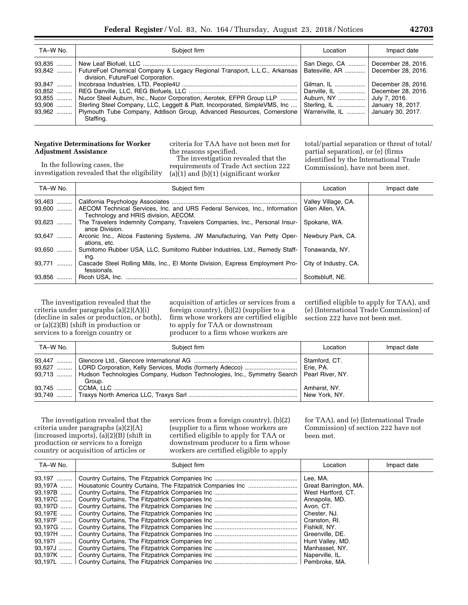| TA-W No. | Subject firm                                                                                                                                                                                                                                                       | Location                                                                                         | Impact date                                                                    |
|----------|--------------------------------------------------------------------------------------------------------------------------------------------------------------------------------------------------------------------------------------------------------------------|--------------------------------------------------------------------------------------------------|--------------------------------------------------------------------------------|
|          | 93,842    FutureFuel Chemical Company & Legacy Regional Transport, L.L.C., Arkansas<br>division, FutureFuel Corporation.                                                                                                                                           | San Diego, CA<br>Batesville, AR    December 28, 2016.                                            | December 28, 2016.                                                             |
|          | 93,855    Nucor Steel Auburn, Inc., Nucor Corporation, Aerotek, EFPR Group LLP<br>93,906  Sterling Steel Company, LLC, Leggett & Platt, Incorporated, SimpleVMS, Inc<br>93,962  Plymouth Tube Company, Addison Group, Advanced Resources, Cornerstone<br>Staffing. | Gilman, IL<br>Danville, IL<br>Auburn, NY<br>Sterling, IL<br>Warrenville, IL    January 30, 2017. | December 28, 2016.<br>December 28, 2016.<br>July 7, 2016.<br>January 18, 2017. |

# **Negative Determinations for Worker Adjustment Assistance**

criteria for TAA have not been met for the reasons specified.

In the following cases, the investigation revealed that the eligibility

The investigation revealed that the requirements of Trade Act section 222 (a) $(1)$  and  $(b)(1)$  (significant worker

total/partial separation or threat of total/ partial separation), or (e) (firms identified by the International Trade Commission), have not been met.

| TA-W No. | Subject firm                                                                                                                 | Location                               | Impact date |
|----------|------------------------------------------------------------------------------------------------------------------------------|----------------------------------------|-------------|
| $93,463$ | 93,600    AECOM Technical Services, Inc. and URS Federal Services, Inc., Information<br>Technology and HRIS division, AECOM. | Valley Village, CA.<br>Glen Allen, VA. |             |
| $93,623$ | The Travelers Indemnity Company, Travelers Companies, Inc., Personal Insur-<br>ance Division.                                | Spokane, WA.                           |             |
| $93.647$ | Arconic Inc., Alcoa Fastening Systems, JW Manufacturing, Van Petty Oper-<br>ations, etc.                                     | Newbury Park, CA.                      |             |
| $93,650$ | Sumitomo Rubber USA, LLC, Sumitomo Rubber Industries, Ltd., Remedy Staff-<br>ing.                                            | Tonawanda, NY.                         |             |
| 93,771   | Cascade Steel Rolling Mills, Inc., El Monte Division, Express Employment Pro-<br>fessionals.                                 | City of Industry, CA.                  |             |
| 93,856   | Ricoh USA. Inc.                                                                                                              | Scottsbluff, NE.                       |             |

The investigation revealed that the criteria under paragraphs (a)(2)(A)(i) (decline in sales or production, or both), or (a)(2)(B) (shift in production or services to a foreign country or

acquisition of articles or services from a foreign country), (b)(2) (supplier to a firm whose workers are certified eligible to apply for TAA or downstream producer to a firm whose workers are

certified eligible to apply for TAA), and (e) (International Trade Commission) of section 222 have not been met.

| TA-W No. | Subject firm                                                                                                                                                                                     | Location                      | Impact date |
|----------|--------------------------------------------------------------------------------------------------------------------------------------------------------------------------------------------------|-------------------------------|-------------|
|          | 93,627    LORD Corporation, Kelly Services, Modis (formerly Adecco)    Erie, PA.<br>93,713  Hudson Technologies Company, Hudson Technologies, Inc., Symmetry Search   Pearl River, NY.<br>Group. | Stamford, CT.                 |             |
|          |                                                                                                                                                                                                  | Amherst, NY.<br>New York, NY. |             |

The investigation revealed that the criteria under paragraphs (a)(2)(A) (increased imports), (a)(2)(B) (shift in production or services to a foreign country or acquisition of articles or

services from a foreign country), (b)(2) (supplier to a firm whose workers are certified eligible to apply for TAA or downstream producer to a firm whose workers are certified eligible to apply

for TAA), and (e) (International Trade Commission) of section 222 have not been met.

| TA-W No.             | Subject firm                                                          | Location                                                                                                                | Impact date |
|----------------------|-----------------------------------------------------------------------|-------------------------------------------------------------------------------------------------------------------------|-------------|
| 93,197   <br>93.197E | 93,197A    Housatonic Country Curtains, The Fitzpatrick Companies Inc | Lee. MA.<br>Great Barrington, MA.<br>West Hartford, CT.<br>Annapolis, MD.<br>Avon, CT.<br>Chester, NJ.<br>Cranston, RI. |             |
| 93,197G              |                                                                       | Fishkill, NY.<br>Greenville, DE.<br>Hunt Valley, MD.<br>Manhasset, NY.<br>Naperville, IL.                               |             |
|                      |                                                                       | Pembroke, MA.                                                                                                           |             |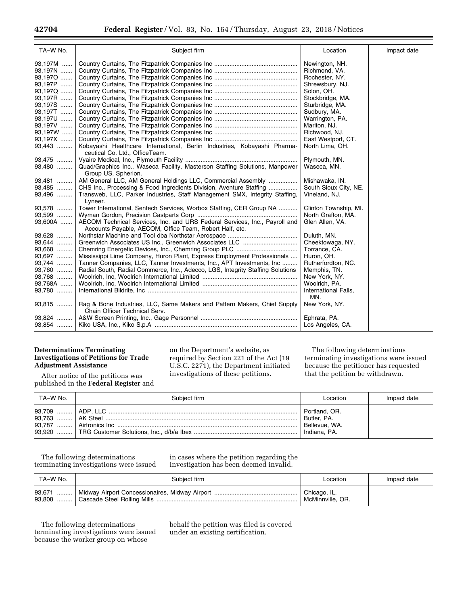| TA-W No.  | Subject firm                                                                                                        | Location                    | Impact date |
|-----------|---------------------------------------------------------------------------------------------------------------------|-----------------------------|-------------|
| 93.197M   |                                                                                                                     | Newington, NH.              |             |
| 93,197N   |                                                                                                                     | Richmond, VA.               |             |
| 93,1970   |                                                                                                                     | Rochester, NY.              |             |
| 93,197P   |                                                                                                                     | Shrewsbury, NJ.             |             |
| 93,197Q   |                                                                                                                     | Solon, OH.                  |             |
| 93,197R   |                                                                                                                     | Stockbridge, MA.            |             |
| 93,197S   |                                                                                                                     | Sturbridge, MA.             |             |
| 93,197T   |                                                                                                                     | Sudbury, MA.                |             |
| 93,197U   |                                                                                                                     | Warrington, PA.             |             |
| 93,197V   |                                                                                                                     | Marlton, NJ.                |             |
| $93,197W$ |                                                                                                                     | Richwood, NJ.               |             |
| 93,197X   |                                                                                                                     | East Westport, CT.          |             |
| 93,443    | Kobayashi Healthcare International, Berlin Industries, Kobayashi Pharma-<br>ceutical Co. Ltd., OfficeTeam.          | North Lima, OH.             |             |
| 93,475    |                                                                                                                     | Plymouth, MN.               |             |
| 93,480    | Quad/Graphics Inc., Waseca Facility, Masterson Staffing Solutions, Manpower                                         | Waseca, MN.                 |             |
|           | Group US, Spherion.                                                                                                 |                             |             |
| 93,481    | AM General LLC, AM General Holdings LLC, Commercial Assembly                                                        | Mishawaka, IN.              |             |
| 93,485    | CHS Inc., Processing & Food Ingredients Division, Aventure Staffing                                                 | South Sioux City, NE.       |             |
| 93,496    | Transweb, LLC, Parker Industries, Staff Management SMX, Integrity Staffing,<br>Lyneer.                              | Vineland, NJ.               |             |
| 93,578    | Tower International, Sentech Services, Worbox Staffing, CER Group NA                                                | Clinton Township, MI.       |             |
| 93,599    |                                                                                                                     | North Grafton, MA.          |             |
| 93,600A   | AECOM Technical Services, Inc. and URS Federal Services, Inc., Payroll and                                          | Glen Allen, VA.             |             |
|           | Accounts Payable, AECOM, Office Team, Robert Half, etc.                                                             |                             |             |
| 93,628    |                                                                                                                     | Duluth, MN.                 |             |
| 93,644    |                                                                                                                     | Cheektowaga, NY.            |             |
| 93,668    |                                                                                                                     | Torrance, CA.               |             |
| 93,697    | Mississippi Lime Company, Huron Plant, Express Employment Professionals                                             | Huron, OH.                  |             |
| 93,744    | Tanner Companies, LLC, Tanner Investments, Inc., APT Investments, Inc                                               | Rutherfordton, NC.          |             |
| 93,760    | Radial South, Radial Commerce, Inc., Adecco, LGS, Integrity Staffing Solutions                                      | Memphis, TN.                |             |
| 93,768    |                                                                                                                     | New York, NY.               |             |
| 93,768A   |                                                                                                                     | Woolrich, PA.               |             |
| 93,780    |                                                                                                                     | International Falls,<br>MN. |             |
|           | 93,815    Rag & Bone Industries, LLC, Same Makers and Pattern Makers, Chief Supply<br>Chain Officer Technical Serv. | New York, NY.               |             |
|           |                                                                                                                     | Ephrata, PA.                |             |
|           |                                                                                                                     | Los Angeles, CA.            |             |

# **Determinations Terminating Investigations of Petitions for Trade Adjustment Assistance**

on the Department's website, as required by Section 221 of the Act (19 U.S.C. 2271), the Department initiated investigations of these petitions.

The following determinations terminating investigations were issued because the petitioner has requested that the petition be withdrawn.

After notice of the petitions was published in the **Federal Register** and

| TA-W No. | Subiect firm | Location                                                      | Impact date |
|----------|--------------|---------------------------------------------------------------|-------------|
|          |              | Portland, OR.<br>Butler, PA.<br>Bellevue, WA.<br>Indiana, PA. |             |

The following determinations terminating investigations were issued in cases where the petition regarding the investigation has been deemed invalid.

| TA–W No. | Subiect firm | Location                         | Impact date |
|----------|--------------|----------------------------------|-------------|
|          |              | Chicago, IL.<br>McMinnville, OR. |             |

The following determinations terminating investigations were issued because the worker group on whose

behalf the petition was filed is covered under an existing certification.